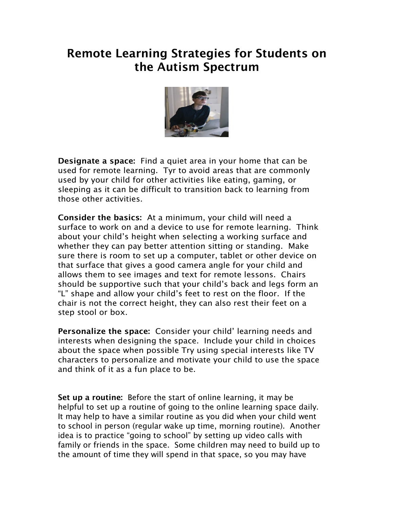## Remote Learning Strategies for Students on the Autism Spectrum



Designate a space: Find a quiet area in your home that can be used for remote learning. Tyr to avoid areas that are commonly used by your child for other activities like eating, gaming, or sleeping as it can be difficult to transition back to learning from those other activities.

Consider the basics: At a minimum, your child will need a surface to work on and a device to use for remote learning. Think about your child's height when selecting a working surface and whether they can pay better attention sitting or standing. Make sure there is room to set up a computer, tablet or other device on that surface that gives a good camera angle for your child and allows them to see images and text for remote lessons. Chairs should be supportive such that your child's back and legs form an "L" shape and allow your child's feet to rest on the floor. If the chair is not the correct height, they can also rest their feet on a step stool or box.

Personalize the space: Consider your child' learning needs and interests when designing the space. Include your child in choices about the space when possible Try using special interests like TV characters to personalize and motivate your child to use the space and think of it as a fun place to be.

Set up a routine: Before the start of online learning, it may be helpful to set up a routine of going to the online learning space daily. It may help to have a similar routine as you did when your child went to school in person (regular wake up time, morning routine). Another idea is to practice "going to school" by setting up video calls with family or friends in the space. Some children may need to build up to the amount of time they will spend in that space, so you may have